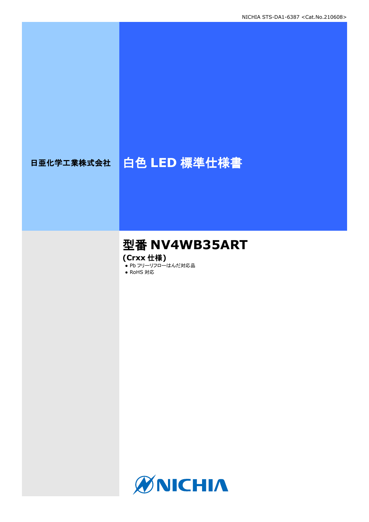# 日亜化学工業株式会社 | 白色 LED 標準仕様書

# 型番 **NV4WB35ART**

**(Crxx** 仕様**)**

● Pb フリーリフローはんだ対応品

● RoHS 対応

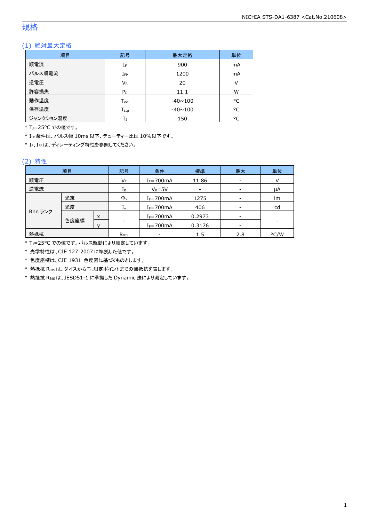### 規格

### (1) 絶対最大定格

| 項目        | 記号                 | 最大定格           | 単位     |
|-----------|--------------------|----------------|--------|
| 順電流       | ΙF                 | 900            | mA     |
| パルス順電流    | $I_{FP}$           | 1200           | mA     |
| 逆電圧       | VR                 | 20             | $\vee$ |
| 許容損失      | $P_D$              | 11.1           | W      |
| 動作温度      | $T_{\mathsf{opr}}$ | $-40 \sim 100$ | °C     |
| 保存温度      | $T_{\rm stq}$      | $-40 \sim 100$ | °C     |
| ジャンクション温度 |                    | 150            | °C     |

\* T<sub>1</sub>=25°C での値です。

\* IFP条件は、パルス幅 10ms 以下、デューティー比は 10%以下です。

\* IF、IFPは、ディレーティング特性を参照してください。

#### (2) 特性

| 項目      |      | 記号               | 条件                       | 標準             | 最大              | 単位   |    |
|---------|------|------------------|--------------------------|----------------|-----------------|------|----|
| 順電圧     |      | VF               | $I_F = 700$ mA           | 11.86          |                 | V    |    |
| 逆電流     |      |                  | IR                       | $V_R = 5V$     | $\qquad \qquad$ |      | μA |
| 光束      |      |                  | $\Phi_{v}$               | $I_F = 700$ mA | 1275            |      | lm |
|         | 光度   |                  | 1v                       | $I_F = 700$ mA | 406             |      | cd |
| Rnn ランク |      | x                |                          | $I_F = 700$ mA | 0.2973          |      |    |
|         | 色度座標 | v                | $\overline{\phantom{a}}$ | $I_F = 700$ mA | 0.3176          |      |    |
| 熱抵抗     |      | R <sub>0JS</sub> | $\overline{\phantom{0}}$ | 1.5            | 2.8             | °C/W |    |

\* TJ=25°C での値です。パルス駆動により測定しています。

\* 光学特性は、CIE 127:2007 に準拠した値です。

\* 色度座標は、CIE 1931 色度図に基づくものとします。

\* 熱抵抗 RθJSは、ダイスから TS測定ポイントまでの熱抵抗を表します。

\* 熱抵抗 RθJSは、JESD51-1 に準拠した Dynamic 法により測定しています。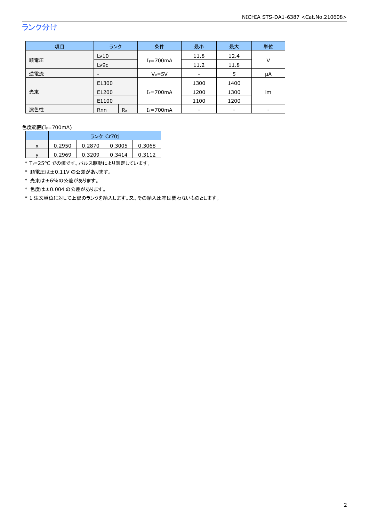# ランク分け

| 項目  | ランク                      |         | 条件             | 最小   | 最大                       | 単位 |
|-----|--------------------------|---------|----------------|------|--------------------------|----|
|     | Lv10                     |         |                | 11.8 | 12.4                     |    |
| 順電圧 | Lv9c                     |         | $I_F = 700$ mA | 11.2 | 11.8                     | V  |
| 逆電流 | $\overline{\phantom{a}}$ |         | $V_R = 5V$     |      | 5                        | μA |
| 光束  | E1300<br>E1200<br>E1100  |         | $I_F = 700$ mA | 1300 | 1400                     |    |
|     |                          |         |                | 1200 | 1300                     | lm |
|     |                          |         |                | 1100 | 1200                     |    |
| 演色性 | Rnn                      | $R_{a}$ | $I_F = 700$ mA |      | $\overline{\phantom{a}}$ |    |

色度範囲(IF=700mA)

|   | ランク Cr70i |        |        |        |  |
|---|-----------|--------|--------|--------|--|
| x | 0.2950    | 0.2870 | 0.3005 | 0.3068 |  |
|   | 0.2969    | 0.3209 | 0.3414 | 0.3112 |  |

\* TJ=25°C での値です。パルス駆動により測定しています。

\* 順電圧は±0.11V の公差があります。

\* 光束は±6%の公差があります。

\* 色度は±0.004 の公差があります。

\* 1 注文単位に対して上記のランクを納入します。又、その納入比率は問わないものとします。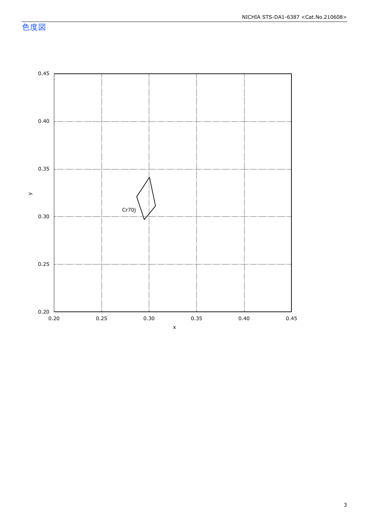色度図

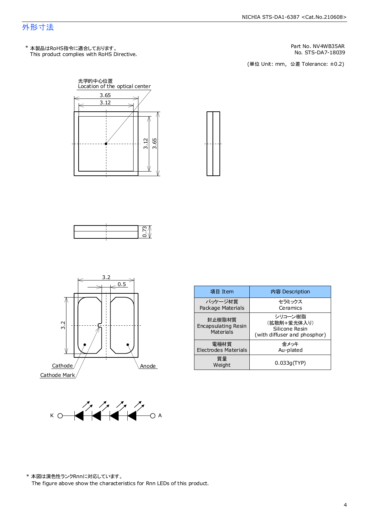### 外形寸法

This product complies with RoHS Directive. \* 本製品はRoHS指令に適合しております。

Part No. NV4WB35AR<br>No. STS-DA7-18039

No. STS-DA7-18039<br>(単位 Unit: mm,公差 Tolerance: ±0.2)









| 項目 Item                                    | 内容 Description                                                           |  |
|--------------------------------------------|--------------------------------------------------------------------------|--|
| パッケージ材質<br>Package Materials               | セラミックス<br>Ceramics                                                       |  |
| 封止樹脂材質<br>Encapsulating Resin<br>Materials | シリコーン樹脂<br>(拡散剤+蛍光体入り)<br>Silicone Resin<br>(with diffuser and phosphor) |  |
| 電極材質<br><b>Electrodes Materials</b>        | 余メッキ<br>Au-plated                                                        |  |
| 質量<br>Weight                               | 0.033q(TYP)                                                              |  |



\* 本図は演色性ランクRnnに対応しています。

The figure above show the characteristics for Rnn LEDs of this product.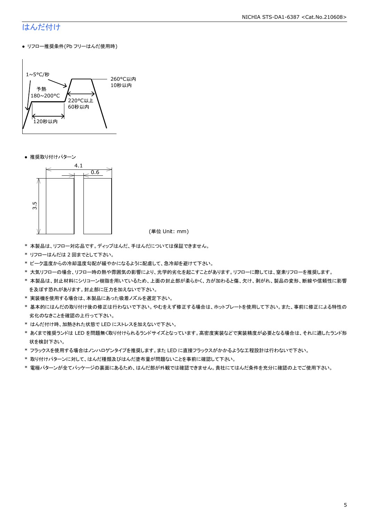# はんだ付け

● リフロー推奨条件(Pb フリーはんだ使用時)



● 推奨取り付けパターン



(単位 Unit: mm)

- \* 本製品は、リフロー対応品です。ディップはんだ、手はんだについては保証できません。
- \* リフローはんだは 2 回までとして下さい。
- \* ピーク温度からの冷却温度勾配が緩やかになるように配慮して、急冷却を避けて下さい。
- \* 大気リフローの場合、リフロー時の熱や雰囲気の影響により、光学的劣化を起こすことがあります。リフローに際しては、窒素リフローを推奨します。
- \* 本製品は、封止材料にシリコーン樹脂を用いているため、上面の封止部が柔らかく、力が加わると傷、欠け、剥がれ、製品の変形、断線や信頼性に影響 を及ぼす恐れがあります。封止部に圧力を加えないで下さい。
- \* 実装機を使用する場合は、本製品にあった吸着ノズルを選定下さい。
- \* 基本的にはんだの取り付け後の修正は行わないで下さい。やむをえず修正する場合は、ホットプレートを使用して下さい。また、事前に修正による特性の 劣化のなきことを確認の上行って下さい。
- \* はんだ付け時、加熱された状態で LED にストレスを加えないで下さい。
- \* あくまで推奨ランドは LED を問題無く取り付けられるランドサイズとなっています。高密度実装などで実装精度が必要となる場合は、それに適したランド形 状を検討下さい。
- \* フラックスを使用する場合はノンハロゲンタイプを推奨します。また LED に直接フラックスがかかるような工程設計は行わないで下さい。
- \* 取り付けパターンに対して、はんだ種類及びはんだ塗布量が問題ないことを事前に確認して下さい。
- \* 電極パターンが全てパッケージの裏面にあるため、はんだ部が外観では確認できません。貴社にてはんだ条件を充分に確認の上でご使用下さい。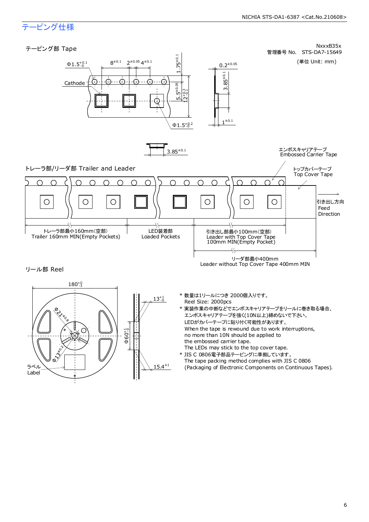# テーピング仕様

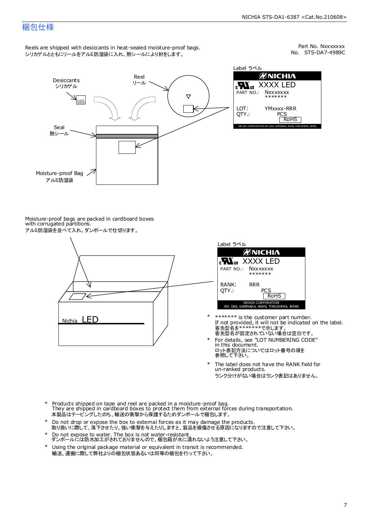### 梱包仕様

Reels are shipped with desiccants in heat-sealed moisture-proof bags. シリカゲルとともにリールをアルミ防湿袋に入れ、熱シールにより封をします。

No. STS-DA7-4989C Part No. Nxxxxxxx



Label ラベル ЙNICHIЛ XXXX LED **Nxxxxxxx** \*\*\*\*\*\*\* YMxxxx-RRR PCS<br>| RoHS NICHIA CORPORATION 491 OKA, KAMINAKA, ANAN, TOKUSHIM

Moisture-proof bags are packed in cardboard boxes with corrugated partitions. アルミ防湿袋を並べて入れ、ダンボールで仕切ります。





- 客先型名が設定されていない場合は空白です。 客先型名を\*\*\*\*\*\*\*で示します。 If not provided, it will not be indicated on the label. \*\*\*\*\*\*\* is the customer part number.
- For details, see "LOT NUMBERING CODE" in this document. ロット表記方法についてはロット番号の項を<br>参照して下さい。 \*
- The label does not have the RANK field for un-ranked products. ランク分けがない場合はランク表記はありません。 \*
- Products shipped on tape and reel are packed in a moisture-proof bag. They are shipped in cardboard boxes to protect them from external forces during transportation. 本製品はテーピングしたのち、輸送の衝撃から保護するためダンボールで梱包します。 \*
- Do not drop or expose the box to external forces as it may damage the products. 取り扱いに際して、落下させたり、強い衝撃を与えたりしますと、製品を損傷させる原因になりますので注意して下さい。 \*
- Do not expose to water. The box is not water-resistant. ダンボールには防水加工がされておりませんので、梱包箱が水に濡れないよう注意して下さい。 \*
- \* Using the original package material or equivalent in transit is recommended. 輸送、運搬に際して弊社よりの梱包状態あるいは同等の梱包を行って下さい。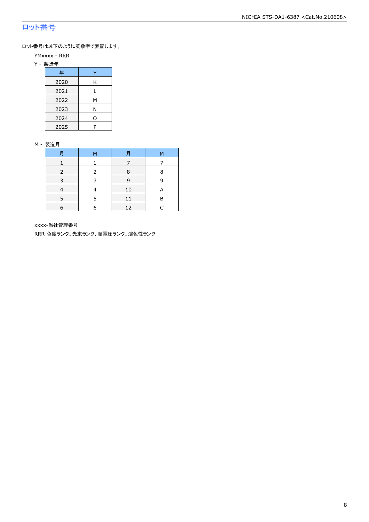# ロット番号

ロット番号は以下のように英数字で表記します。

- YMxxxx RRR
- Y 製造年

| 年    |   |
|------|---|
| 2020 | Κ |
| 2021 |   |
| 2022 | м |
| 2023 | Ν |
| 2024 | ი |
| 2025 | P |

#### M - 製造月

| 月 | M | 月  | M |
|---|---|----|---|
|   |   |    |   |
|   |   | 8  | 8 |
| ∍ |   | 9  | q |
|   |   | 10 | A |
|   |   |    | R |
| 6 | F | 12 |   |

xxxx-当社管理番号

RRR-色度ランク、光束ランク、順電圧ランク、演色性ランク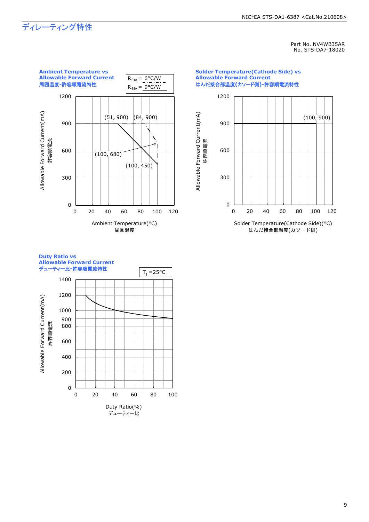#### NICHIA STS-DA1-6387 <Cat.No.210608>

# ディレーティング特性

Part No. NV4WB35AR No. STS-DA7-18020



### **Duty Ratio vs Allowable Forward Current**

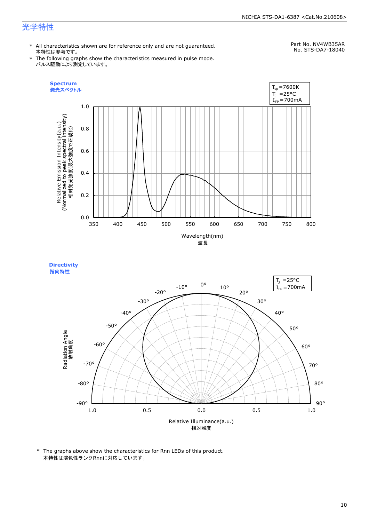#### NICHIA STS-DA1-6387 <Cat.No.210608>

# 光学特性

\* All characteristics shown are for reference only and are not guaranteed. 本特性は参考です。

Part No. NV4WB35AR

\* The following graphs show the characteristics measured in pulse mode. パルス駆動により測定しています。







\* The graphs above show the characteristics for Rnn LEDs of this product. 本特性は演色性ランクRnnに対応しています。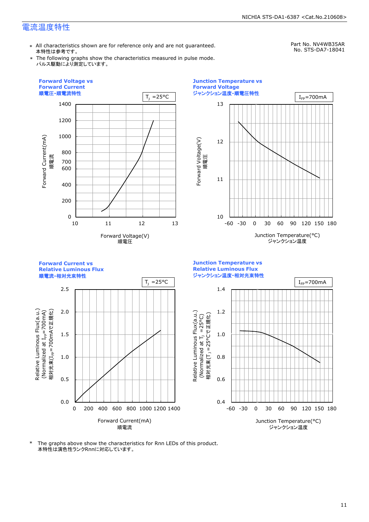## 電流温度特性

\* All characteristics shown are for reference only and are not guaranteed. 本特性は参考です。

Part No. NV4WB35AR No. STS-DA7-18041

\* The following graphs show the characteristics measured in pulse mode. パルス駆動により測定しています。



\* The graphs above show the characteristics for Rnn LEDs of this product. 本特性は演色性ランクRnnに対応しています。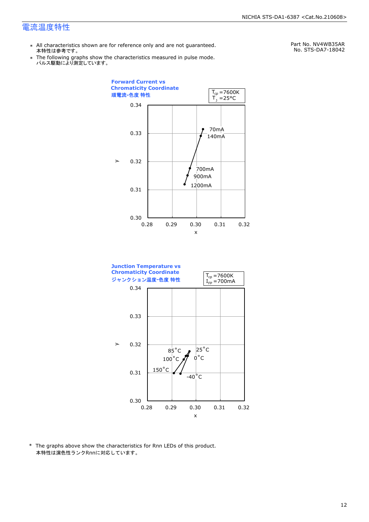### 電流温度特性

- \* All characteristics shown are for reference only and are not guaranteed. 本特性は参考です。
- \* Ine following graphs show th<br>、パルス駆動により測定しています。 The following graphs show the characteristics measured in pulse mode.

Part No. NV4WB35AR No. STS-DA7-18042





\* The graphs above show the characteristics for Rnn LEDs of this product. 本特性は演色性ランクRnnに対応しています。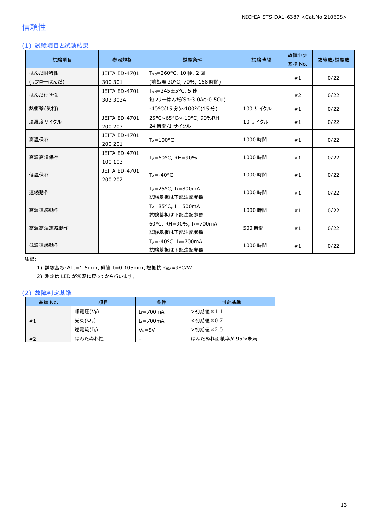# 信頼性

### (1) 試験項目と試験結果

| 試験項目      | 参照規格                            | 試験条件                                                 | 試験時間     | 故障判定<br>基準 No. | 故障数/試験数 |
|-----------|---------------------------------|------------------------------------------------------|----------|----------------|---------|
| はんだ耐熱性    | JEITA ED-4701                   | T <sub>sld</sub> =260°C, 10秒, 2回                     |          |                |         |
| (リフローはんだ) | 300 301                         | (前処理 30°C, 70%, 168 時間)                              |          | #1             | 0/22    |
| はんだ付け性    | <b>JEITA ED-4701</b>            | $T_{\text{std}} = 245 \pm 5^{\circ}$ C, 5秒           |          |                |         |
|           | 303 303A                        | 鉛フリーはんだ(Sn-3.0Ag-0.5Cu)                              |          | #2             | 0/22    |
| 熱衝撃(気相)   |                                 | -40°C(15 分)~100°C(15 分)                              | 100 サイクル | #1             | 0/22    |
| 温湿度サイクル   | <b>JEITA ED-4701</b><br>200 203 | 25°C~65°C~-10°C, 90%RH<br>24 時間/1 サイクル               | 10 サイクル  | #1             | 0/22    |
| 高温保存      | JEITA ED-4701<br>200 201        | $T_A = 100^{\circ}C$                                 | 1000 時間  | #1             | 0/22    |
| 高温高湿保存    | <b>JEITA ED-4701</b><br>100 103 | TA=60°C, RH=90%                                      | 1000 時間  | #1             | 0/22    |
| 低温保存      | JEITA ED-4701<br>200 202        | $T_A = -40$ °C                                       | 1000 時間  | #1             | 0/22    |
| 連続動作      |                                 | $T_A = 25$ °C, I <sub>F</sub> =800mA<br>試験基板は下記注記参照  | 1000 時間  | #1             | 0/22    |
| 高温連続動作    |                                 | $T_A = 85$ °C, I <sub>F</sub> =500mA<br>試験基板は下記注記参照  | 1000 時間  | #1             | 0/22    |
| 高温高湿連続動作  |                                 | 60°C, RH=90%, IF=700mA<br>試験基板は下記注記参照                | 500 時間   | #1             | 0/22    |
| 低温連続動作    |                                 | $T_A = -40$ °C, I <sub>F</sub> =700mA<br>試験基板は下記注記参照 | 1000 時間  | #1             | 0/22    |

注記:

1) 試験基板:Al t=1.5mm、銅箔 t=0.105mm、熱抵抗 RθJA≈9°C/W

2) 測定は LED が常温に戻ってから行います。

#### (2) 故障判定基準

| 基準 No. | 項目                  | 条件             | 判定基準            |
|--------|---------------------|----------------|-----------------|
|        | 順電圧(VF)             | $I_F = 700$ mA | >初期値×1.1        |
| #1     | 光束(Φ <sub>v</sub> ) | $I_F = 700$ mA | <初期値×0.7        |
|        | 逆電流(IR)             | $V_R = 5V$     | >初期値×2.0        |
| #2     | はんだぬれ性              | -              | はんだぬれ面積率が 95%未満 |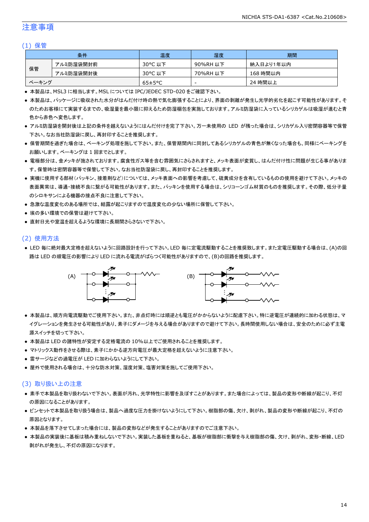### 注意事項

#### (1) 保管

|       | 条件        | 温度                   | 湿度       | 期間        |
|-------|-----------|----------------------|----------|-----------|
|       | アルミ防湿袋開封前 | 30°C 以下              | 90%RH 以下 | 納入日より1年以内 |
| 保管    | アルミ防湿袋開封後 | 30°C 以下              | 70%RH 以下 | 168 時間以内  |
| ベーキング |           | $65 \pm 5^{\circ}$ C | -        | 24 時間以上   |

● 本製品は、MSL3 に相当します。MSL については IPC/JEDEC STD-020 をご確認下さい。

- 本製品は、パッケージに吸収された水分がはんだ付け時の熱で気化膨張することにより、界面の剥離が発生し光学的劣化を起こす可能性があります。そ のためお客様にて実装するまでの、吸湿量を最小限に抑えるため防湿梱包を実施しております。アルミ防湿袋に入っているシリカゲルは吸湿が進むと青 色から赤色へ変色します。
- アルミ防湿袋を開封後は上記の条件を越えないようにはんだ付けを完了下さい。万一未使用の LED が残った場合は、シリカゲル入り密閉容器等で保管 下さい。なお当社防湿袋に戻し、再封印することを推奨します。
- 保管期間を過ぎた場合は、ベーキング処理を施して下さい。また、保管期間内に同封してあるシリカゲルの青色が無くなった場合も、同様にベーキングを お願いします。ベーキングは 1 回までとします。
- 電極部分は、金メッキが施されております。腐食性ガス等を含む雰囲気にさらされますと、メッキ表面が変質し、はんだ付け性に問題が生じる事がありま す。保管時は密閉容器等で保管して下さい。なお当社防湿袋に戻し、再封印することを推奨します。
- 実機に使用する部材(パッキン、接着剤など)については、メッキ表面への影響を考慮して、硫黄成分を含有しているものの使用を避けて下さい。メッキの 表面異常は、導通・接続不良に繋がる可能性があります。また、パッキンを使用する場合は、シリコーンゴム材質のものを推奨します。その際、低分子量 のシロキサンによる機器の接点不良に注意して下さい。
- 急激な温度変化のある場所では、結露が起こりますので温度変化の少ない場所に保管して下さい。
- 埃の多い環境での保管は避けて下さい。
- 直射日光や室温を超えるような環境に長期間さらさないで下さい。

#### (2) 使用方法

● LED 毎に絶対最大定格を超えないように回路設計を行って下さい。LED 毎に定電流駆動することを推奨致します。また定電圧駆動する場合は、(A)の回 路は LED の順電圧の影響により LED に流れる電流がばらつく可能性がありますので、(B)の回路を推奨します。



- 本製品は、順方向電流駆動でご使用下さい。また、非点灯時には順逆とも電圧がかからないように配慮下さい。特に逆電圧が連続的に加わる状態は、マ イグレーションを発生させる可能性があり、素子にダメージを与える場合がありますので避けて下さい。長時間使用しない場合は、安全のために必ず主電 源スイッチを切って下さい。
- 本製品は LED の諸特性が安定する定格電流の 10%以上でご使用されることを推奨します。
- マトリックス動作をさせる際は、素子にかかる逆方向電圧が最大定格を超えないように注意下さい。
- 雷サージなどの過電圧が LED に加わらないようにして下さい。
- 屋外で使用される場合は、十分な防水対策、湿度対策、塩害対策を施してご使用下さい。

#### (3) 取り扱い上の注意

- 素手で本製品を取り扱わないで下さい。表面が汚れ、光学特性に影響を及ぼすことがあります。また場合によっては、製品の変形や断線が起こり、不灯 の原因になることがあります。
- ピンセットで本製品を取り扱う場合は、製品へ過度な圧力を掛けないようにして下さい。樹脂部の傷、欠け、剥がれ、製品の変形や断線が起こり、不灯の 原因となります。
- 本製品を落下させてしまった場合には、製品の変形などが発生することがありますのでご注意下さい。
- 本製品の実装後に基板は積み重ねしないで下さい。実装した基板を重ねると、基板が樹脂部に衝撃を与え樹脂部の傷、欠け、剥がれ、変形・断線、LED 剥がれが発生し、不灯の原因になります。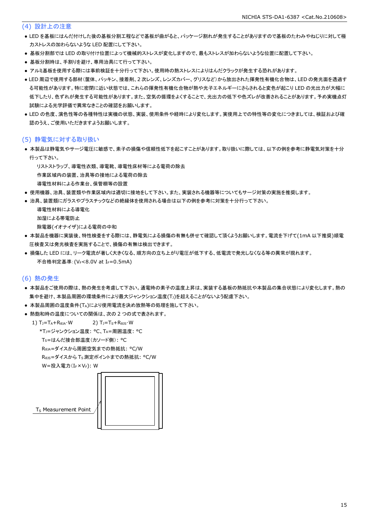#### (4) 設計上の注意

- LED を基板にはんだ付けした後の基板分割工程などで基板が曲がると、パッケージ割れが発生することがありますので基板のたわみやねじりに対して極 力ストレスの加わらないような LED 配置にして下さい。
- 基板分割部では LED の取り付け位置によって機械的ストレスが変化しますので、最もストレスが加わらないような位置に配置して下さい。
- 基板分割時は、手割りを避け、専用治具にて行って下さい。
- アルミ基板を使用する際には事前検証を十分行って下さい。使用時の熱ストレスによりはんだクラックが発生する恐れがあります。
- LED 周辺で使用する部材(筐体、パッキン、接着剤、2 次レンズ、レンズカバー、グリスなど)から放出された揮発性有機化合物は、LED の発光面を透過す る可能性があります。特に密閉に近い状態では、これらの揮発性有機化合物が熱や光子エネルギーにさらされると変色が起こり LED の光出力が大幅に 低下したり、色ずれが発生する可能性があります。また、空気の循環をよくすることで、光出力の低下や色ズレが改善されることがあります。予め実機点灯 試験による光学評価で異常なきことの確認をお願いします。
- LED の色度、演色性等の各種特性は実機の状態、実装、使用条件や経時により変化します。実使用上での特性等の変化につきましては、検証および確 認のうえ、ご使用いただきますようお願いします。

#### (5) 静電気に対する取り扱い

● 本製品は静電気やサージ電圧に敏感で、素子の損傷や信頼性低下を起こすことがあります。取り扱いに際しては、以下の例を参考に静電気対策を十分 行って下さい。

リストストラップ、導電性衣類、導電靴、導電性床材等による電荷の除去

作業区域内の装置、治具等の接地による電荷の除去

- 導電性材料による作業台、保管棚等の設置
- 使用機器、治具、装置類や作業区域内は適切に接地をして下さい。また、実装される機器等についてもサージ対策の実施を推奨します。
- 治具、装置類にガラスやプラスチックなどの絶縁体を使用される場合は以下の例を参考に対策を十分行って下さい。

```
 導電性材料による導電化
加湿による帯電防止
除電器(イオナイザ)による電荷の中和
```
- 本製品を機器に実装後、特性検査をする際には、静電気による損傷の有無も併せて確認して頂くようお願いします。電流を下げて(1mA 以下推奨)順電 圧検査又は発光検査を実施することで、損傷の有無は検出できます。
- 損傷した LED には、リーク電流が著しく大きくなる、順方向の立ち上がり電圧が低下する、低電流で発光しなくなる等の異常が現れます。 不合格判定基準: (VF<8.0V at IF=0.5mA)

#### (6) 熱の発生

- 本製品をご使用の際は、熱の発生を考慮して下さい。通電時の素子の温度上昇は、実装する基板の熱抵抗や本製品の集合状態により変化します。熱の 集中を避け、本製品周囲の環境条件により最大ジャンクション温度(T」)を超えることがないよう配慮下さい。
- 本製品周囲の温度条件(TA)により使用電流を決め放熱等の処理を施して下さい。
- 熱飽和時の温度についての関係は、次の2つの式で表されます。

1)  $T_J = T_A + R_{\theta JA} \cdot W$  2)  $T_J = T_S + R_{\theta JS} \cdot W$  \*TJ=ジャンクション温度: °C、TA=周囲温度: °C TS=はんだ接合部温度(カソード側): °C

RθJA=ダイスから周囲空気までの熱抵抗: °C/W

RθJS=ダイスから TS測定ポイントまでの熱抵抗: °C/W

```
W=投入電力(I<sub>F</sub>×V<sub>F</sub>): W
```


T<sub>S</sub> Measurement Point